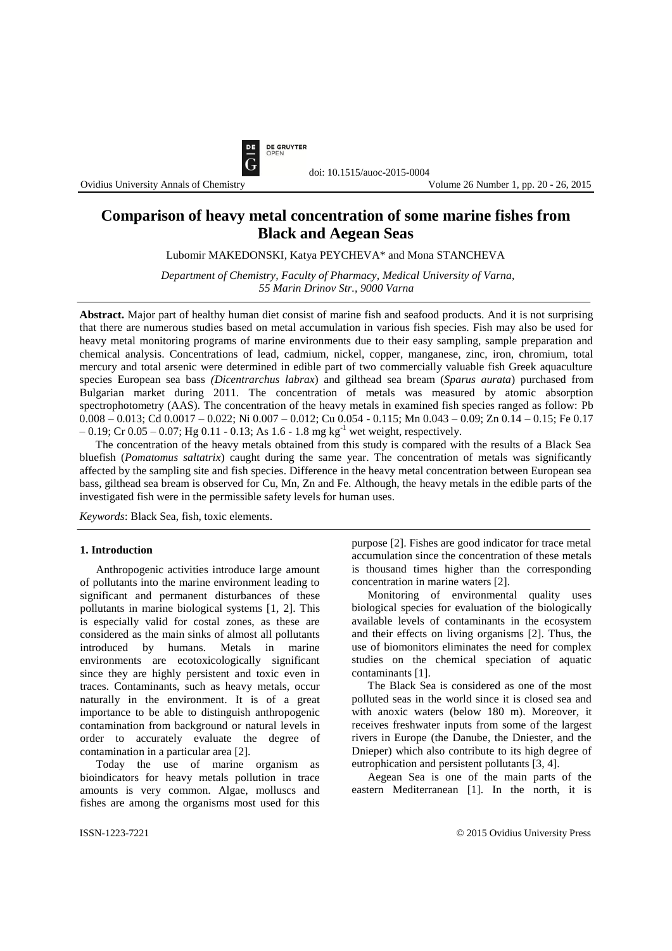

Ovidius University Annals of Chemistry

# **Comparison of heavy metal concentration of some marine fishes from Black and Aegean Seas**

Lubomir MAKEDONSKI, Katya PEYCHEVA\* and Mona STANCHEVA

*Department of Chemistry, Faculty of Pharmacy, Medical University of Varna, 55 Marin Drinov Str., 9000 Varna*

**Abstract.** Major part of healthy human diet consist of marine fish and seafood products. And it is not surprising that there are numerous studies based on metal accumulation in various fish species. Fish may also be used for heavy metal monitoring programs of marine environments due to their easy sampling, sample preparation and chemical analysis. Concentrations of lead, cadmium, nickel, copper, manganese, zinc, iron, chromium, total mercury and total arsenic were determined in edible part of two commercially valuable fish Greek aquaculture species European sea bass *(Dicentrarchus labrax*) and gilthead sea bream (*Sparus aurata*) purchased from Bulgarian market during 2011. The concentration of metals was measured by atomic absorption spectrophotometry (AAS). The concentration of the heavy metals in examined fish species ranged as follow: Pb 0.008 – 0.013; Cd 0.0017 – 0.022; Ni 0.007 – 0.012; Cu 0.054 - 0.115; Mn 0.043 – 0.09; Zn 0.14 – 0.15; Fe 0.17  $-0.19$ ; Cr 0.05  $-0.07$ ; Hg 0.11 - 0.13; As 1.6 - 1.8 mg kg<sup>-1</sup> wet weight, respectively.

The concentration of the heavy metals obtained from this study is compared with the results of a Black Sea bluefish (*Pomatomus saltatrix*) caught during the same year. The concentration of metals was significantly affected by the sampling site and fish species. Difference in the heavy metal concentration between European sea bass, gilthead sea bream is observed for Cu, Mn, Zn and Fe. Although, the heavy metals in the edible parts of the investigated fish were in the permissible safety levels for human uses.

*Keywords*: Black Sea, fish, toxic elements.

#### **1. Introduction**

Anthropogenic activities introduce large amount of pollutants into the marine environment leading to significant and permanent disturbances of these pollutants in marine biological systems [1, 2]. This is especially valid for costal zones, as these are considered as the main sinks of almost all pollutants introduced by humans. Metals in marine environments are ecotoxicologically significant since they are highly persistent and toxic even in traces. Contaminants, such as heavy metals, occur naturally in the environment. It is of a great importance to be able to distinguish anthropogenic contamination from background or natural levels in order to accurately evaluate the degree of contamination in a particular area [2].

Today the use of marine organism as bioindicators for heavy metals pollution in trace amounts is very common. Algae, molluscs and fishes are among the organisms most used for this purpose [2]. Fishes are good indicator for trace metal accumulation since the concentration of these metals is thousand times higher than the corresponding concentration in marine waters [2].

Monitoring of environmental quality uses biological species for evaluation of the biologically available levels of contaminants in the ecosystem and their effects on living organisms [2]. Thus, the use of biomonitors eliminates the need for complex studies on the chemical speciation of aquatic contaminants [1].

The Black Sea is considered as one of the most polluted seas in the world since it is closed sea and with anoxic waters (below 180 m). Moreover, it receives freshwater inputs from some of the largest rivers in Europe (the Danube, the Dniester, and the Dnieper) which also contribute to its high degree of eutrophication and persistent pollutants [3, 4].

Aegean Sea is one of the main parts of the eastern Mediterranean [1]. In the north, it is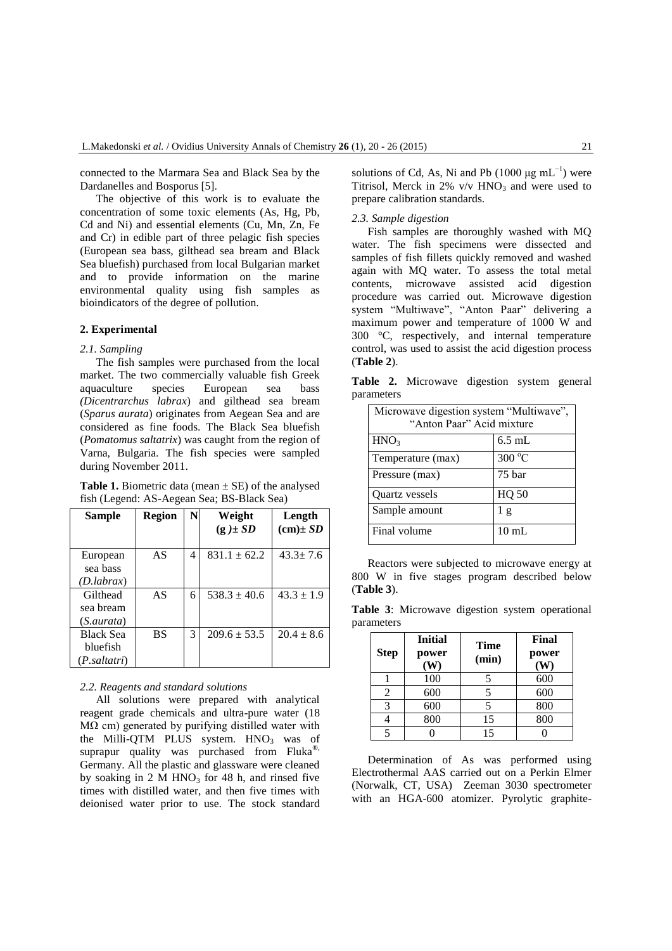connected to the [Marmara Sea](http://en.wikipedia.org/wiki/Marmara_Sea) and [Black Sea](http://en.wikipedia.org/wiki/Black_Sea) by the [Dardanelles](http://en.wikipedia.org/wiki/Dardanelles) and [Bosporus](http://en.wikipedia.org/wiki/Bosporus) [5].

The objective of this work is to evaluate the concentration of some toxic elements (As, Hg, Pb, Cd and Ni) and essential elements (Cu, Mn, Zn, Fe and Cr) in edible part of three pelagic fish species (European sea bass, gilthead sea bream and Black Sea bluefish) purchased from local Bulgarian market and to provide information on the marine environmental quality using fish samples as bioindicators of the degree of pollution.

# **2. Experimental**

### *2.1. Sampling*

The fish samples were purchased from the local market. The two commercially valuable fish Greek aquaculture species European sea bass *(Dicentrarchus labrax*) and gilthead sea bream (*Sparus aurata*) originates from Aegean Sea and are considered as fine foods. The Black Sea bluefish (*Pomatomus saltatrix*) was caught from the region of Varna, Bulgaria. The fish species were sampled during November 2011.

**Table 1.** Biometric data (mean  $\pm$  SE) of the analysed fish (Legend: AS-Aegean Sea; BS-Black Sea)

| Sample                                              | Region    | N | Weight<br>$(g) \pm SD$ | Length<br>$(cm) \pm SD$ |
|-----------------------------------------------------|-----------|---|------------------------|-------------------------|
| European<br>sea bass<br>(D.labrax)                  | AS        | 4 | $831.1 \pm 62.2$       | $43.3 \pm 7.6$          |
| Gilthead<br>sea bream<br>(S.aurata)                 | AS        | 6 | $538.3 + 40.6$         | $43.3 \pm 1.9$          |
| <b>Black Sea</b><br><b>bluefish</b><br>(P.saltatri) | <b>BS</b> | 3 | $209.6 \pm 53.5$       | $20.4 \pm 8.6$          |

### *2.2. Reagents and standard solutions*

All solutions were prepared with analytical reagent grade chemicals and ultra-pure water (18  $MΩ$  cm) generated by purifying distilled water with the Milli-QTM PLUS system.  $HNO<sub>3</sub>$  was of suprapur quality was purchased from Fluka®, Germany. All the plastic and glassware were cleaned by soaking in 2 M  $HNO<sub>3</sub>$  for 48 h, and rinsed five times with distilled water, and then five times with deionised water prior to use. The stock standard

solutions of Cd, As, Ni and Pb (1000  $\mu$ g mL<sup>-1</sup>) were Titrisol, Merck in  $2\%$  v/v  $HNO<sub>3</sub>$  and were used to prepare calibration standards.

# *2.3. Sample digestion*

Fish samples are thoroughly washed with MQ water. The fish specimens were dissected and samples of fish fillets quickly removed and washed again with MQ water. To assess the total metal contents, microwave assisted acid digestion procedure was carried out. Microwave digestion system "Multiwave", "Anton Paar" delivering a maximum power and temperature of 1000 W and 300 °C, respectively, and internal temperature control, was used to assist the acid digestion process (**Table 2**).

**Table 2.** Microwave digestion system general parameters

| Microwave digestion system "Multiwave",<br>"Anton Paar" Acid mixture |                |  |  |  |
|----------------------------------------------------------------------|----------------|--|--|--|
| HNO <sub>3</sub>                                                     | $6.5$ mL       |  |  |  |
| Temperature (max)                                                    | 300 °C         |  |  |  |
| Pressure (max)                                                       | 75 bar         |  |  |  |
| Quartz vessels                                                       | <b>HQ 50</b>   |  |  |  |
| Sample amount                                                        | 1 <sub>g</sub> |  |  |  |
| Final volume                                                         | $10$ mL        |  |  |  |

Reactors were subjected to microwave energy at 800 W in five stages program described below (**Table 3**).

**Table 3**: Microwave digestion system operational parameters

| <b>Step</b> | <b>Initial</b><br>power<br>W) | <b>Time</b><br>(min) | Final<br>power<br>W) |
|-------------|-------------------------------|----------------------|----------------------|
|             | 100                           |                      | 600                  |
| 2           | 600                           |                      | 600                  |
| 3           | 600                           |                      | 800                  |
|             | 800                           | 15                   | 800                  |
|             |                               | 15                   |                      |

Determination of As was performed using Electrothermal AAS carried out on a Perkin Elmer (Norwalk, CT, USA) Zeeman 3030 spectrometer with an HGA-600 atomizer. Pyrolytic graphite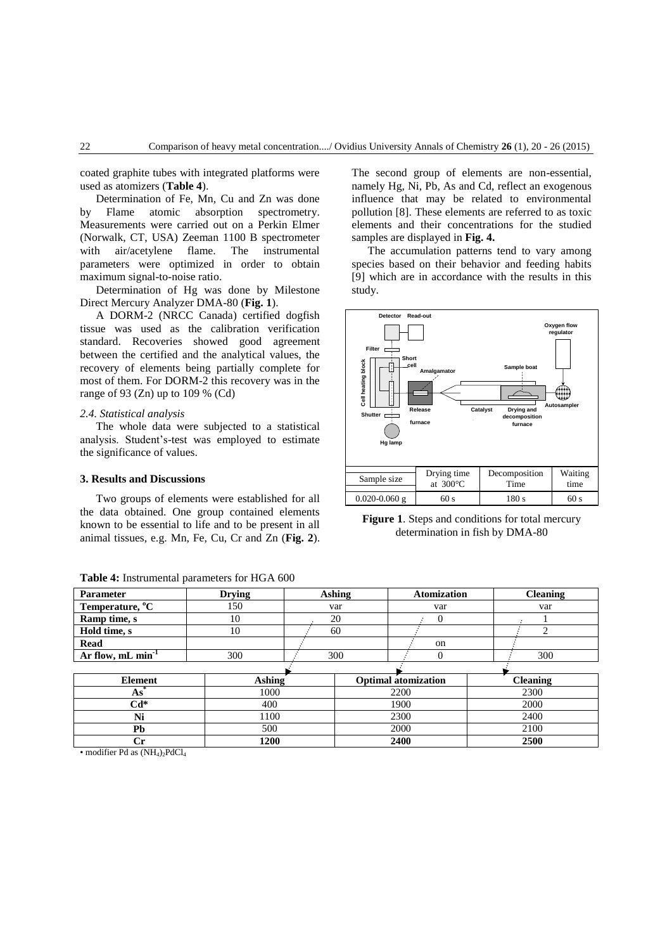coated graphite tubes with integrated platforms were used as atomizers (**Table 4**).

Determination of Fe, Mn, Cu and Zn was done by Flame atomic absorption spectrometry. Measurements were carried out on a Perkin Elmer (Norwalk, CT, USA) Zeeman 1100 B spectrometer with air/acetylene flame. The instrumental parameters were optimized in order to obtain maximum signal-to-noise ratio.

Determination of Hg was done by Milestone Direct Mercury Analyzer DMA-80 (**Fig. 1**).

A DORM-2 (NRCC Canada) certified dogfish tissue was used as the calibration verification standard. Recoveries showed good agreement between the certified and the analytical values, the recovery of elements being partially complete for most of them. For DORM-2 this recovery was in the range of 93 (Zn) up to 109  $%$  (Cd)

## *2.4. Statistical analysis*

The whole data were subjected to a statistical analysis. Student's-test was employed to estimate the significance of values.

# **3. Results and Discussions**

Two groups of elements were established for all the data obtained. One group contained elements known to be essential to life and to be present in all animal tissues, e.g. Mn, Fe, Cu, Cr and Zn (**Fig. 2**).

**Table 4:** Instrumental parameters for HGA 600

The second group of elements are non-essential, namely Hg, Ni, Pb, As and Cd, reflect an exogenous influence that may be related to environmental pollution [8]. These elements are referred to as toxic elements and their concentrations for the studied samples are displayed in **Fig. 4.**

The accumulation patterns tend to vary among species based on their behavior and feeding habits [9] which are in accordance with the results in this study.



**Figure 1**. Steps and conditions for total mercury determination in fish by DMA-80

| Temperature, <sup>o</sup> C     | 150           | var |  | var                        |    | var             |  |
|---------------------------------|---------------|-----|--|----------------------------|----|-----------------|--|
| Ramp time, s                    | 10            | 20  |  | 0                          |    |                 |  |
| Hold time, s                    | 10            | 60  |  |                            |    |                 |  |
| Read                            |               |     |  |                            | on |                 |  |
| Ar flow, $mL$ min <sup>-1</sup> | 300           | 300 |  |                            |    | 300             |  |
|                                 |               |     |  |                            |    |                 |  |
|                                 |               |     |  |                            |    |                 |  |
| <b>Element</b>                  | <b>Ashing</b> |     |  | <b>Optimal</b> atomization |    | <b>Cleaning</b> |  |
| $As^*$                          | 1000          |     |  | 2200                       |    | 2300            |  |
| $Cd*$                           | 400           |     |  | 1900                       |    | 2000            |  |
| Ni                              | 1100          |     |  | 2300                       |    | 2400            |  |
| Pb                              | 500           |     |  | 2000                       |    | 2100            |  |

**Parameter Drying Ashing Atomization Cleaning**

• modifier Pd as  $(NH_4)_2$ PdCl<sub>4</sub>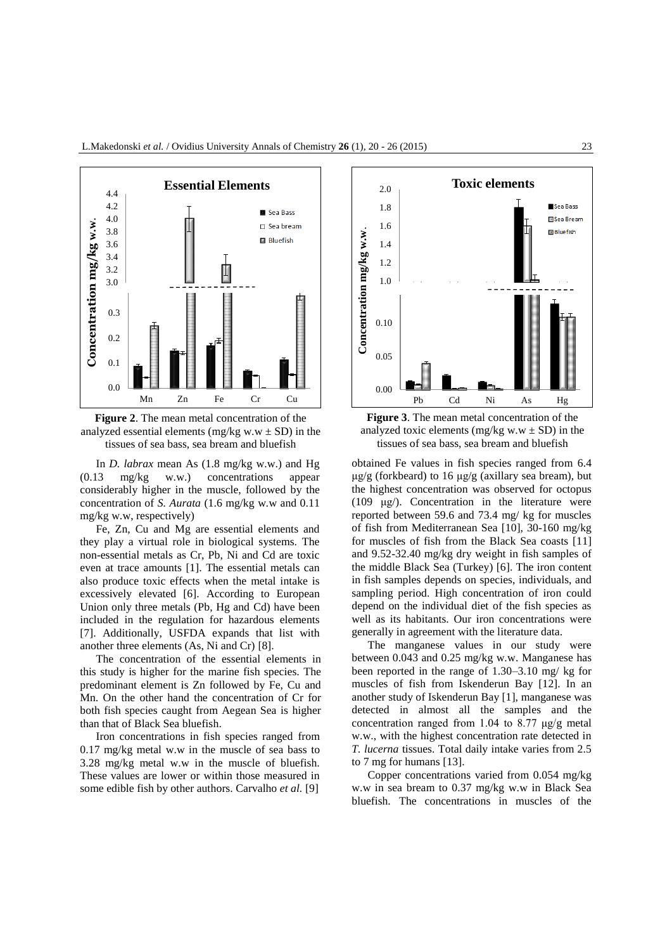

**Figure 2**. The mean metal concentration of the analyzed essential elements (mg/kg w.w  $\pm$  SD) in the tissues of sea bass, sea bream and bluefish

In *D. labrax* mean As (1.8 mg/kg w.w.) and Hg (0.13 mg/kg w.w.) concentrations appear considerably higher in the muscle, followed by the concentration of *S. Aurata* (1.6 mg/kg w.w and 0.11 mg/kg w.w, respectively)

Fe, Zn, Cu and Mg are essential elements and they play a virtual role in biological systems. The non-essential metals as Cr, Pb, Ni and Cd are toxic even at trace amounts [1]. The essential metals can also produce toxic effects when the metal intake is excessively elevated [6]. According to European Union only three metals (Pb, Hg and Cd) have been included in the regulation for hazardous elements [7]. Additionally, USFDA expands that list with another three elements (As, Ni and Cr) [8].

The concentration of the essential elements in this study is higher for the marine fish species. The predominant element is Zn followed by Fe, Cu and Mn. On the other hand the concentration of Cr for both fish species caught from Aegean Sea is higher than that of Black Sea bluefish.

Iron concentrations in fish species ranged from 0.17 mg/kg metal w.w in the muscle of sea bass to 3.28 mg/kg metal w.w in the muscle of bluefish. These values are lower or within those measured in some edible fish by other authors. Carvalho *et al.* [9]





obtained Fe values in fish species ranged from 6.4 μg/g (forkbeard) to 16 μg/g (axillary sea bream), but the highest concentration was observed for octopus (109 μg/). Concentration in the literature were reported between 59.6 and 73.4 mg/ kg for muscles of fish from Mediterranean Sea [10], 30-160 mg/kg for muscles of fish from the Black Sea coasts [11] and 9.52-32.40 mg/kg dry weight in fish samples of the middle Black Sea (Turkey) [6]. The iron content in fish samples depends on species, individuals, and sampling period. High concentration of iron could depend on the individual diet of the fish species as well as its habitants. Our iron concentrations were generally in agreement with the literature data.

The manganese values in our study were between 0.043 and 0.25 mg/kg w.w. Manganese has been reported in the range of 1.30–3.10 mg/ kg for muscles of fish from Iskenderun Bay [12]. In an another study of Iskenderun Bay [1], manganese was detected in almost all the samples and the concentration ranged from 1.04 to 8.77 μg/g metal w.w., with the highest concentration rate detected in *T. lucerna* tissues. Total daily intake varies from 2.5 to 7 mg for humans [13].

Copper concentrations varied from 0.054 mg/kg w.w in sea bream to 0.37 mg/kg w.w in Black Sea bluefish. The concentrations in muscles of the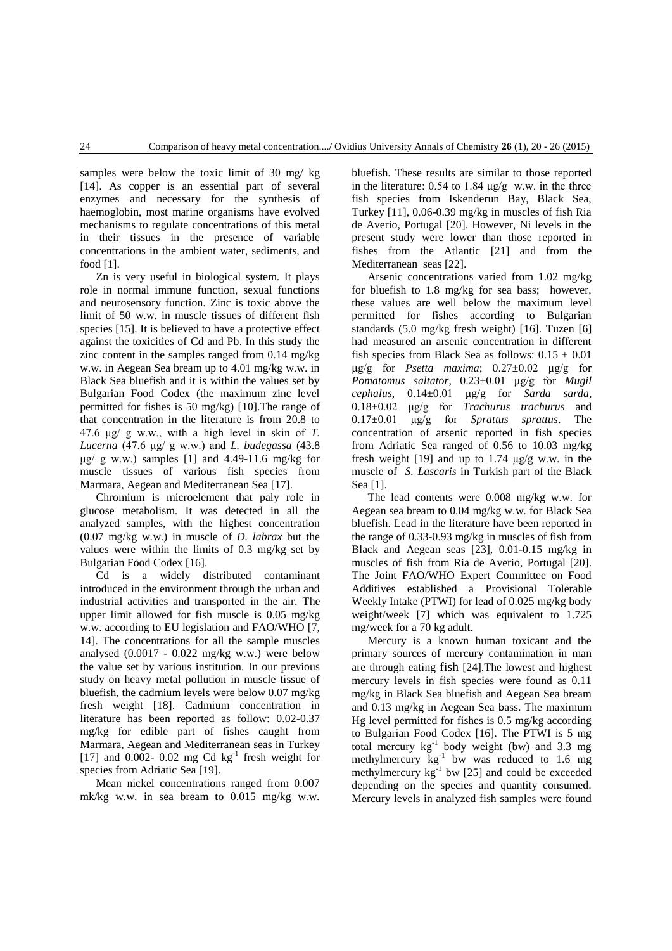samples were below the toxic limit of 30 mg/ kg [14]. As copper is an essential part of several enzymes and necessary for the synthesis of haemoglobin, most marine organisms have evolved mechanisms to regulate concentrations of this metal in their tissues in the presence of variable concentrations in the ambient water, sediments, and food [1].

Zn is very useful in biological system. It plays role in normal immune function, sexual functions and neurosensory function. Zinc is toxic above the limit of 50 w.w. in muscle tissues of different fish species [15]. It is believed to have a protective effect against the toxicities of Cd and Pb. In this study the zinc content in the samples ranged from 0.14 mg/kg w.w. in Aegean Sea bream up to 4.01 mg/kg w.w. in Black Sea bluefish and it is within the values set by Bulgarian Food Codex (the maximum zinc level permitted for fishes is 50 mg/kg) [10].The range of that concentration in the literature is from 20.8 to 47.6 μg/ g w.w., with a high level in skin of *T. Lucerna* (47.6 μg/ g w.w.) and *L. budegassa* (43.8  $\mu$ g/ g w.w.) samples [1] and 4.49-11.6 mg/kg for muscle tissues of various fish species from Marmara, Aegean and Mediterranean Sea [17].

Chromium is microelement that paly role in glucose metabolism. It was detected in all the analyzed samples, with the highest concentration (0.07 mg/kg w.w.) in muscle of *D. labrax* but the values were within the limits of 0.3 mg/kg set by Bulgarian Food Codex [16].

Cd is a widely distributed contaminant introduced in the environment through the urban and industrial activities and transported in the air. The upper limit allowed for fish muscle is 0.05 mg/kg w.w. according to EU legislation and FAO/WHO [7, 14]. The concentrations for all the sample muscles analysed (0.0017 - 0.022 mg/kg w.w.) were below the value set by various institution. In our previous study on heavy metal pollution in muscle tissue of bluefish, the cadmium levels were below 0.07 mg/kg fresh weight [18]. Cadmium concentration in literature has been reported as follow: 0.02-0.37 mg/kg for edible part of fishes caught from Marmara, Aegean and Mediterranean seas in Turkey [17] and 0.002- 0.02 mg Cd  $\text{kg}^{-1}$  fresh weight for species from Adriatic Sea [19].

Mean nickel concentrations ranged from 0.007 mk/kg w.w. in sea bream to 0.015 mg/kg w.w. bluefish. These results are similar to those reported in the literature:  $0.54$  to  $1.84 \mu g/g$  w.w. in the three fish species from Iskenderun Bay, Black Sea, Turkey [11], 0.06-0.39 mg/kg in muscles of fish Ria de Averio, Portugal [20]. However, Ni levels in the present study were lower than those reported in fishes from the Atlantic [21] and from the Mediterranean seas [22].

Arsenic concentrations varied from 1.02 mg/kg for bluefish to 1.8 mg/kg for sea bass; however, these values are well below the maximum level permitted for fishes according to Bulgarian standards (5.0 mg/kg fresh weight) [16]. Tuzen [6] had measured an arsenic concentration in different fish species from Black Sea as follows:  $0.15 \pm 0.01$ μg/g for *Psetta maxima*; 0.27±0.02 μg/g for *Pomatomus saltator*, 0.23±0.01 μg/g for *Mugil cephalus*, 0.14±0.01 μg/g for *Sarda sarda*, 0.18±0.02 μg/g for *Trachurus trachurus* and 0.17±0.01 μg/g for *Sprattus sprattus*. The concentration of arsenic reported in fish species from Adriatic Sea ranged of 0.56 to 10.03 mg/kg fresh weight [19] and up to 1.74  $\mu$ g/g w.w. in the muscle of *S. Lascaris* in Turkish part of the Black Sea [1].

The lead contents were 0.008 mg/kg w.w. for Aegean sea bream to 0.04 mg/kg w.w. for Black Sea bluefish. Lead in the literature have been reported in the range of 0.33-0.93 mg/kg in muscles of fish from Black and Aegean seas [23], 0.01-0.15 mg/kg in muscles of fish from Ria de Averio, Portugal [20]. The Joint FAO/WHO Expert Committee on Food Additives established a Provisional Tolerable Weekly Intake (PTWI) for lead of 0.025 mg/kg body weight/week [7] which was equivalent to 1.725 mg/week for a 70 kg adult.

Mercury is a known human toxicant and the primary sources of mercury contamination in man are through eating fish [24].The lowest and highest mercury levels in fish species were found as 0.11 mg/kg in Black Sea bluefish and Aegean Sea bream and 0.13 mg/kg in Aegean Sea bass. The maximum Hg level permitted for fishes is 0.5 mg/kg according to Bulgarian Food Codex [16]. The PTWI is 5 mg total mercury  $kg^{-1}$  body weight (bw) and 3.3 mg methylmercury  $\text{kg}^{-1}$  bw was reduced to 1.6 mg methylmercury  $kg^{-1}$  bw [25] and could be exceeded depending on the species and quantity consumed. Mercury levels in analyzed fish samples were found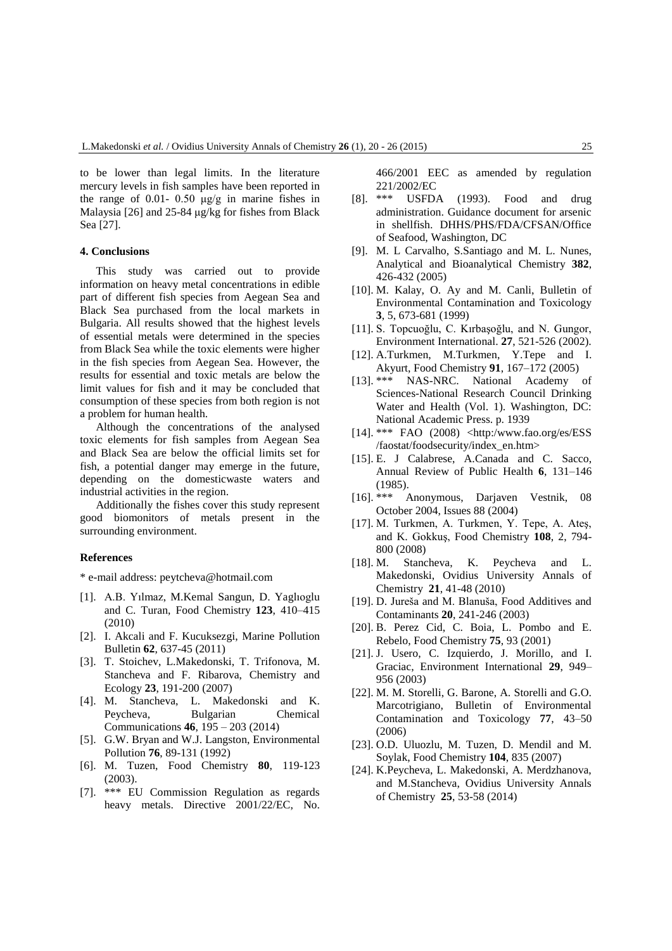to be lower than legal limits. In the literature mercury levels in fish samples have been reported in the range of 0.01- 0.50  $\mu$ g/g in marine fishes in Malaysia [26] and 25-84 μg/kg for fishes from Black Sea [27].

#### **4. Conclusions**

This study was carried out to provide information on heavy metal concentrations in edible part of different fish species from Aegean Sea and Black Sea purchased from the local markets in Bulgaria. All results showed that the highest levels of essential metals were determined in the species from Black Sea while the toxic elements were higher in the fish species from Aegean Sea. However, the results for essential and toxic metals are below the limit values for fish and it may be concluded that consumption of these species from both region is not a problem for human health.

Although the concentrations of the analysed toxic elements for fish samples from Aegean Sea and Black Sea are below the official limits set for fish, a potential danger may emerge in the future, depending on the domesticwaste waters and industrial activities in the region.

Additionally the fishes cover this study represent good biomonitors of metals present in the surrounding environment.

#### **References**

\* e-mail address: peytcheva@hotmail.com

- [1]. A.B. Yılmaz, M.Kemal Sangun, D. Yaglıoglu and C. Turan, Food Chemistry **123**, 410–415 (2010)
- [2]. I. Akcali and F. Kucuksezgi, Marine Pollution Bulletin **62**, 637-45 (2011)
- [3]. T. Stoichev, L.Makedonski, T. Trifonova, M. Stancheva and F. Ribarova, Chemistry and Ecology **23**, 191-200 (2007)
- [4]. M. Stancheva, L. Makedonski and K. Peycheva, Bulgarian Chemical Communications **46**, 195 – 203 (2014)
- [5]. G.W. Bryan and W.J. Langston, Environmental Pollution **76**, 89-131 (1992)
- [6]. M. Tuzen, Food Chemistry **80**, 119-123 (2003).
- [7]. \*\*\* EU Commission Regulation as regards heavy metals. Directive 2001/22/EC, No.

466/2001 EEC as amended by regulation 221/2002/EC<br>[8]. \*\*\* USFD.

- USFDA (1993). Food and drug administration. Guidance document for arsenic in shellfish. DHHS/PHS/FDA/CFSAN/Office of Seafood, Washington, DC
- [9]. M. L Carvalho, S.Santiago and M. L. Nunes, Analytical and Bioanalytical Chemistry **382**, 426-432 (2005)
- [10]. M. Kalay, O. Ay and M. Canli, Bulletin of Environmental Contamination and Toxicology **3**, 5, 673-681 (1999)
- [11]. S. Topcuoğlu, C. Kırbaşoğlu, and N. Gungor, Environment International. **27**, 521-526 (2002).
- [12]. A.Turkmen, M.Turkmen, Y.Tepe and I. Akyurt, Food Chemistry **91**, 167–172 (2005)
- [13]. \*\*\* NAS-NRC. National Academy of Sciences-National Research Council Drinking Water and Health (Vol. 1). Washington, DC: National Academic Press. p. 1939
- [14]. \*\*\* FAO (2008) <http:/www.fao.org/es/ESS /faostat/foodsecurity/index\_en.htm>
- [15]. E. J Calabrese, A.Canada and C. Sacco, Annual Review of Public Health **6**, 131–146 (1985).
- [16]. \*\*\* Anonymous, Darjaven Vestnik, 08 October 2004, Issues 88 (2004)
- [17]. M. Turkmen, A. Turkmen, Y. Tepe, A. Ateş, and K. Gokkuş, Food Chemistry **108**, 2, 794- 800 (2008)
- [18]. M. Stancheva, K. Peycheva and L. Makedonski, Ovidius University Annals of Chemistry **21**, 41-48 (2010)
- [19]. D. Jureša and M. Blanuša, Food Additives and Contaminants **20**, 241-246 (2003)
- [20]. B. Perez Cid, C. Boia, L. Pombo and E. Rebelo, Food Chemistry **75**, 93 (2001)
- [21]. J. Usero, C. Izquierdo, J. Morillo, and I. Graciac, Environment International **29**, 949– 956 (2003)
- [22]. M. M. Storelli, G. Barone, A. Storelli and G.O. Marcotrigiano, Bulletin of Environmental Contamination and Toxicology **77**, 43–50 (2006)
- [23]. O.D. Uluozlu, M. Tuzen, D. Mendil and M. Soylak, Food Chemistry **104**, 835 (2007)
- [24]. K.Peycheva, L. Makedonski, A. Merdzhanova, and M.Stancheva, Ovidius University Annals of Chemistry **25**, 53-58 (2014)